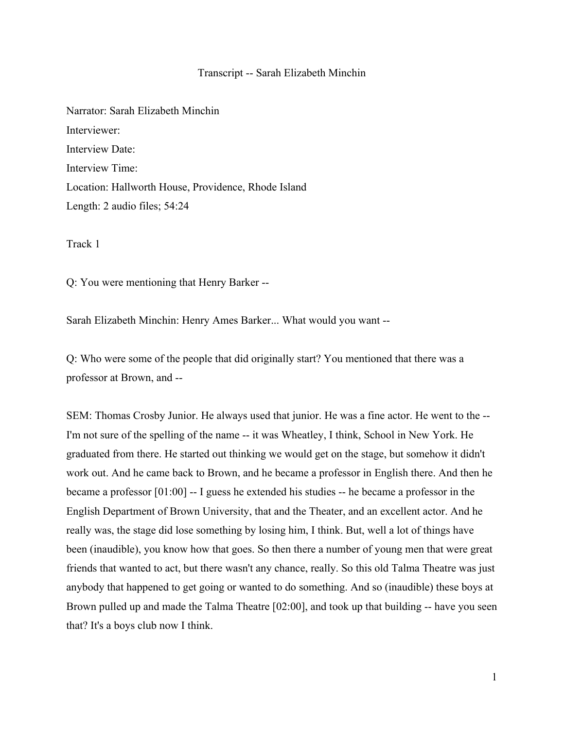## Transcript -- Sarah Elizabeth Minchin

Narrator: Sarah Elizabeth Minchin Interviewer: Interview Date: Interview Time: Location: Hallworth House, Providence, Rhode Island Length: 2 audio files; 54:24

Track 1

Q: You were mentioning that Henry Barker --

Sarah Elizabeth Minchin: Henry Ames Barker... What would you want --

Q: Who were some of the people that did originally start? You mentioned that there was a professor at Brown, and --

SEM: Thomas Crosby Junior. He always used that junior. He was a fine actor. He went to the -- I'm not sure of the spelling of the name -- it was Wheatley, I think, School in New York. He graduated from there. He started out thinking we would get on the stage, but somehow it didn't work out. And he came back to Brown, and he became a professor in English there. And then he became a professor [01:00] -- I guess he extended his studies -- he became a professor in the English Department of Brown University, that and the Theater, and an excellent actor. And he really was, the stage did lose something by losing him, I think. But, well a lot of things have been (inaudible), you know how that goes. So then there a number of young men that were great friends that wanted to act, but there wasn't any chance, really. So this old Talma Theatre was just anybody that happened to get going or wanted to do something. And so (inaudible) these boys at Brown pulled up and made the Talma Theatre [02:00], and took up that building -- have you seen that? It's a boys club now I think.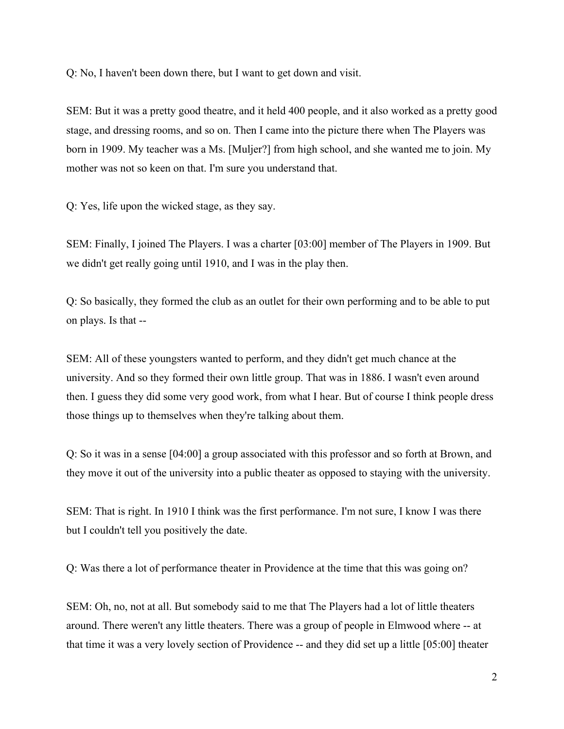Q: No, I haven't been down there, but I want to get down and visit.

SEM: But it was a pretty good theatre, and it held 400 people, and it also worked as a pretty good stage, and dressing rooms, and so on. Then I came into the picture there when The Players was born in 1909. My teacher was a Ms. [Muljer?] from high school, and she wanted me to join. My mother was not so keen on that. I'm sure you understand that.

Q: Yes, life upon the wicked stage, as they say.

SEM: Finally, I joined The Players. I was a charter [03:00] member of The Players in 1909. But we didn't get really going until 1910, and I was in the play then.

Q: So basically, they formed the club as an outlet for their own performing and to be able to put on plays. Is that --

SEM: All of these youngsters wanted to perform, and they didn't get much chance at the university. And so they formed their own little group. That was in 1886. I wasn't even around then. I guess they did some very good work, from what I hear. But of course I think people dress those things up to themselves when they're talking about them.

Q: So it was in a sense [04:00] a group associated with this professor and so forth at Brown, and they move it out of the university into a public theater as opposed to staying with the university.

SEM: That is right. In 1910 I think was the first performance. I'm not sure, I know I was there but I couldn't tell you positively the date.

Q: Was there a lot of performance theater in Providence at the time that this was going on?

SEM: Oh, no, not at all. But somebody said to me that The Players had a lot of little theaters around. There weren't any little theaters. There was a group of people in Elmwood where -- at that time it was a very lovely section of Providence -- and they did set up a little [05:00] theater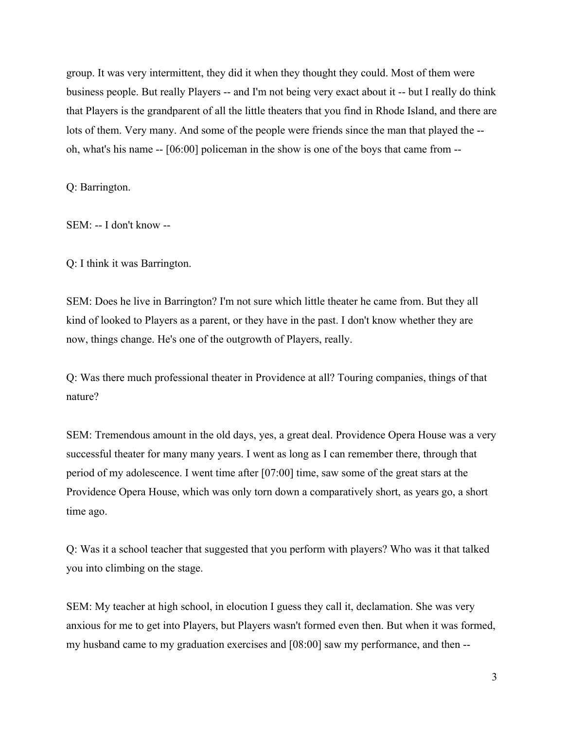group. It was very intermittent, they did it when they thought they could. Most of them were business people. But really Players -- and I'm not being very exact about it -- but I really do think that Players is the grandparent of all the little theaters that you find in Rhode Island, and there are lots of them. Very many. And some of the people were friends since the man that played the - oh, what's his name -- [06:00] policeman in the show is one of the boys that came from --

Q: Barrington.

SEM: -- I don't know --

Q: I think it was Barrington.

SEM: Does he live in Barrington? I'm not sure which little theater he came from. But they all kind of looked to Players as a parent, or they have in the past. I don't know whether they are now, things change. He's one of the outgrowth of Players, really.

Q: Was there much professional theater in Providence at all? Touring companies, things of that nature?

SEM: Tremendous amount in the old days, yes, a great deal. Providence Opera House was a very successful theater for many many years. I went as long as I can remember there, through that period of my adolescence. I went time after [07:00] time, saw some of the great stars at the Providence Opera House, which was only torn down a comparatively short, as years go, a short time ago.

Q: Was it a school teacher that suggested that you perform with players? Who was it that talked you into climbing on the stage.

SEM: My teacher at high school, in elocution I guess they call it, declamation. She was very anxious for me to get into Players, but Players wasn't formed even then. But when it was formed, my husband came to my graduation exercises and [08:00] saw my performance, and then --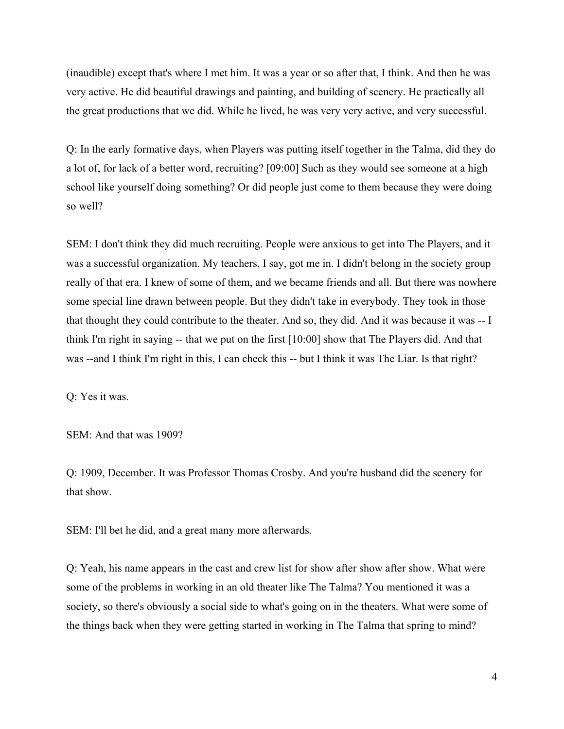(inaudible) except that's where I met him. It was a year or so after that, I think. And then he was very active. He did beautiful drawings and painting, and building of scenery. He practically all the great productions that we did. While he lived, he was very very active, and very successful.

Q: In the early formative days, when Players was putting itself together in the Talma, did they do a lot of, for lack of a better word, recruiting? [09:00] Such as they would see someone at a high school like yourself doing something? Or did people just come to them because they were doing so well?

SEM: I don't think they did much recruiting. People were anxious to get into The Players, and it was a successful organization. My teachers, I say, got me in. I didn't belong in the society group really of that era. I knew of some of them, and we became friends and all. But there was nowhere some special line drawn between people. But they didn't take in everybody. They took in those that thought they could contribute to the theater. And so, they did. And it was because it was -- I think I'm right in saying -- that we put on the first [10:00] show that The Players did. And that was --and I think I'm right in this, I can check this -- but I think it was The Liar. Is that right?

Q: Yes it was.

SEM: And that was 1909?

Q: 1909, December. It was Professor Thomas Crosby. And you're husband did the scenery for that show.

SEM: I'll bet he did, and a great many more afterwards.

Q: Yeah, his name appears in the cast and crew list for show after show after show. What were some of the problems in working in an old theater like The Talma? You mentioned it was a society, so there's obviously a social side to what's going on in the theaters. What were some of the things back when they were getting started in working in The Talma that spring to mind?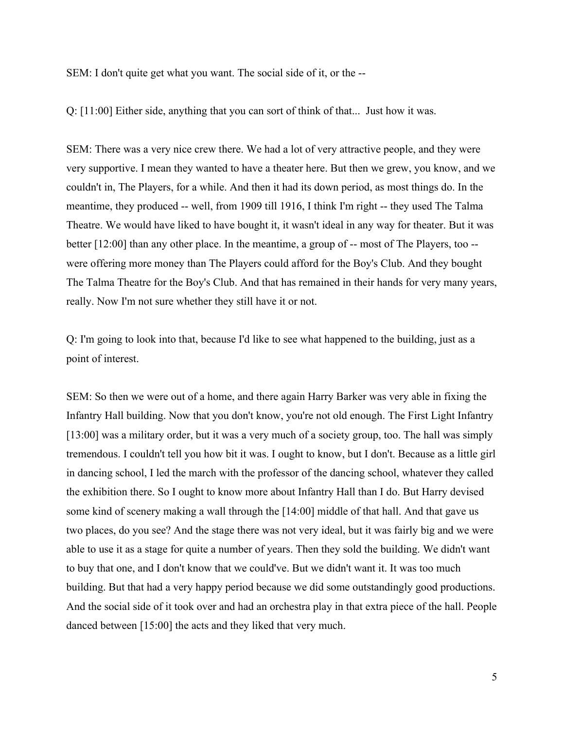SEM: I don't quite get what you want. The social side of it, or the --

Q: [11:00] Either side, anything that you can sort of think of that... Just how it was.

SEM: There was a very nice crew there. We had a lot of very attractive people, and they were very supportive. I mean they wanted to have a theater here. But then we grew, you know, and we couldn't in, The Players, for a while. And then it had its down period, as most things do. In the meantime, they produced -- well, from 1909 till 1916, I think I'm right -- they used The Talma Theatre. We would have liked to have bought it, it wasn't ideal in any way for theater. But it was better [12:00] than any other place. In the meantime, a group of -- most of The Players, too - were offering more money than The Players could afford for the Boy's Club. And they bought The Talma Theatre for the Boy's Club. And that has remained in their hands for very many years, really. Now I'm not sure whether they still have it or not.

Q: I'm going to look into that, because I'd like to see what happened to the building, just as a point of interest.

SEM: So then we were out of a home, and there again Harry Barker was very able in fixing the Infantry Hall building. Now that you don't know, you're not old enough. The First Light Infantry [13:00] was a military order, but it was a very much of a society group, too. The hall was simply tremendous. I couldn't tell you how bit it was. I ought to know, but I don't. Because as a little girl in dancing school, I led the march with the professor of the dancing school, whatever they called the exhibition there. So I ought to know more about Infantry Hall than I do. But Harry devised some kind of scenery making a wall through the [14:00] middle of that hall. And that gave us two places, do you see? And the stage there was not very ideal, but it was fairly big and we were able to use it as a stage for quite a number of years. Then they sold the building. We didn't want to buy that one, and I don't know that we could've. But we didn't want it. It was too much building. But that had a very happy period because we did some outstandingly good productions. And the social side of it took over and had an orchestra play in that extra piece of the hall. People danced between [15:00] the acts and they liked that very much.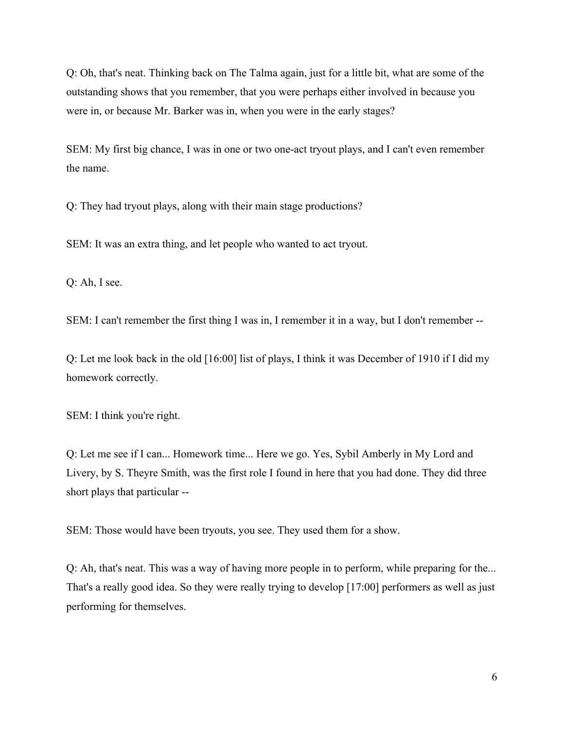Q: Oh, that's neat. Thinking back on The Talma again, just for a little bit, what are some of the outstanding shows that you remember, that you were perhaps either involved in because you were in, or because Mr. Barker was in, when you were in the early stages?

SEM: My first big chance, I was in one or two one-act tryout plays, and I can't even remember the name.

Q: They had tryout plays, along with their main stage productions?

SEM: It was an extra thing, and let people who wanted to act tryout.

Q: Ah, I see.

SEM: I can't remember the first thing I was in, I remember it in a way, but I don't remember --

Q: Let me look back in the old [16:00] list of plays, I think it was December of 1910 if I did my homework correctly.

SEM: I think you're right.

Q: Let me see if I can... Homework time... Here we go. Yes, Sybil Amberly in My Lord and Livery, by S. Theyre Smith, was the first role I found in here that you had done. They did three short plays that particular --

SEM: Those would have been tryouts, you see. They used them for a show.

Q: Ah, that's neat. This was a way of having more people in to perform, while preparing for the... That's a really good idea. So they were really trying to develop [17:00] performers as well as just performing for themselves.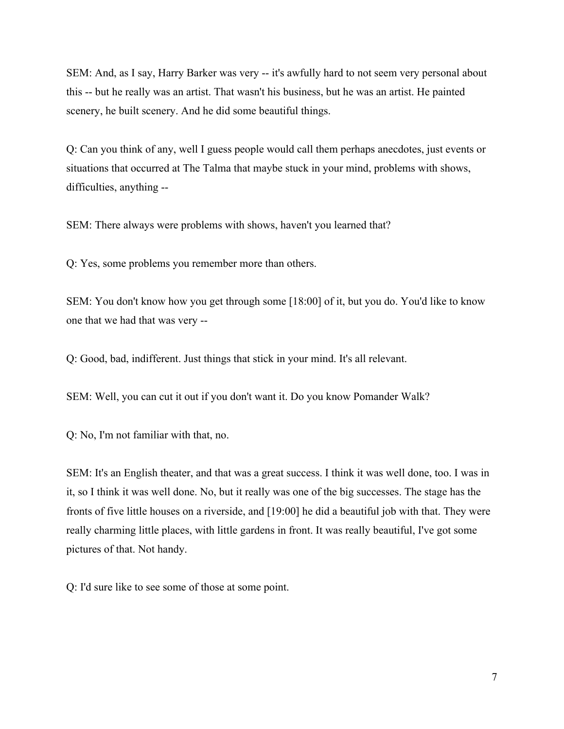SEM: And, as I say, Harry Barker was very -- it's awfully hard to not seem very personal about this -- but he really was an artist. That wasn't his business, but he was an artist. He painted scenery, he built scenery. And he did some beautiful things.

Q: Can you think of any, well I guess people would call them perhaps anecdotes, just events or situations that occurred at The Talma that maybe stuck in your mind, problems with shows, difficulties, anything --

SEM: There always were problems with shows, haven't you learned that?

Q: Yes, some problems you remember more than others.

SEM: You don't know how you get through some [18:00] of it, but you do. You'd like to know one that we had that was very --

Q: Good, bad, indifferent. Just things that stick in your mind. It's all relevant.

SEM: Well, you can cut it out if you don't want it. Do you know Pomander Walk?

Q: No, I'm not familiar with that, no.

SEM: It's an English theater, and that was a great success. I think it was well done, too. I was in it, so I think it was well done. No, but it really was one of the big successes. The stage has the fronts of five little houses on a riverside, and [19:00] he did a beautiful job with that. They were really charming little places, with little gardens in front. It was really beautiful, I've got some pictures of that. Not handy.

Q: I'd sure like to see some of those at some point.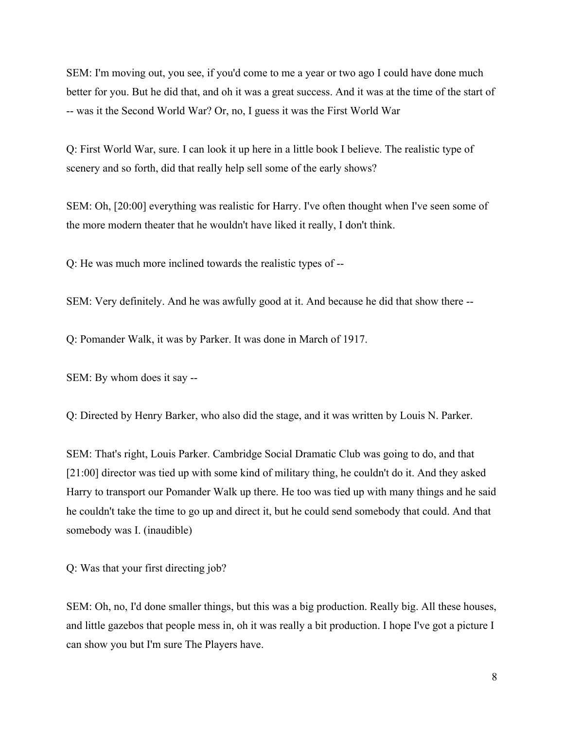SEM: I'm moving out, you see, if you'd come to me a year or two ago I could have done much better for you. But he did that, and oh it was a great success. And it was at the time of the start of -- was it the Second World War? Or, no, I guess it was the First World War

Q: First World War, sure. I can look it up here in a little book I believe. The realistic type of scenery and so forth, did that really help sell some of the early shows?

SEM: Oh, [20:00] everything was realistic for Harry. I've often thought when I've seen some of the more modern theater that he wouldn't have liked it really, I don't think.

Q: He was much more inclined towards the realistic types of --

SEM: Very definitely. And he was awfully good at it. And because he did that show there --

Q: Pomander Walk, it was by Parker. It was done in March of 1917.

SEM: By whom does it say --

Q: Directed by Henry Barker, who also did the stage, and it was written by Louis N. Parker.

SEM: That's right, Louis Parker. Cambridge Social Dramatic Club was going to do, and that [21:00] director was tied up with some kind of military thing, he couldn't do it. And they asked Harry to transport our Pomander Walk up there. He too was tied up with many things and he said he couldn't take the time to go up and direct it, but he could send somebody that could. And that somebody was I. (inaudible)

Q: Was that your first directing job?

SEM: Oh, no, I'd done smaller things, but this was a big production. Really big. All these houses, and little gazebos that people mess in, oh it was really a bit production. I hope I've got a picture I can show you but I'm sure The Players have.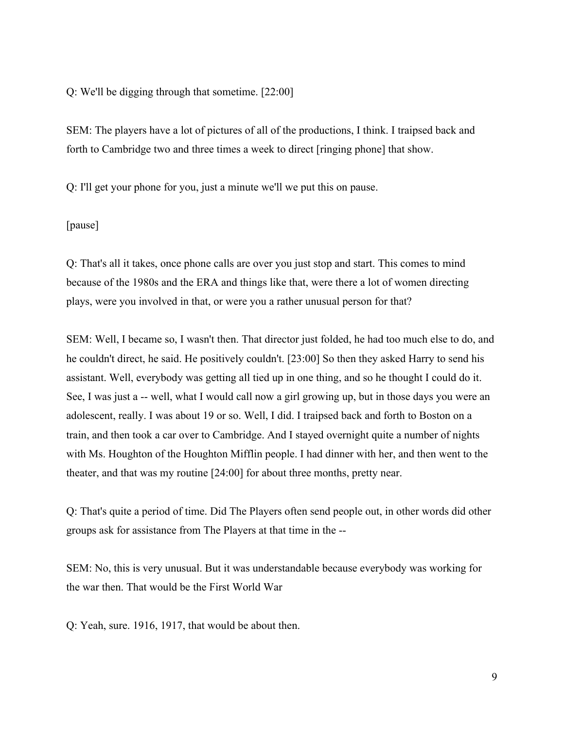Q: We'll be digging through that sometime. [22:00]

SEM: The players have a lot of pictures of all of the productions, I think. I traipsed back and forth to Cambridge two and three times a week to direct [ringing phone] that show.

Q: I'll get your phone for you, just a minute we'll we put this on pause.

[pause]

Q: That's all it takes, once phone calls are over you just stop and start. This comes to mind because of the 1980s and the ERA and things like that, were there a lot of women directing plays, were you involved in that, or were you a rather unusual person for that?

SEM: Well, I became so, I wasn't then. That director just folded, he had too much else to do, and he couldn't direct, he said. He positively couldn't. [23:00] So then they asked Harry to send his assistant. Well, everybody was getting all tied up in one thing, and so he thought I could do it. See, I was just a -- well, what I would call now a girl growing up, but in those days you were an adolescent, really. I was about 19 or so. Well, I did. I traipsed back and forth to Boston on a train, and then took a car over to Cambridge. And I stayed overnight quite a number of nights with Ms. Houghton of the Houghton Mifflin people. I had dinner with her, and then went to the theater, and that was my routine [24:00] for about three months, pretty near.

Q: That's quite a period of time. Did The Players often send people out, in other words did other groups ask for assistance from The Players at that time in the --

SEM: No, this is very unusual. But it was understandable because everybody was working for the war then. That would be the First World War

Q: Yeah, sure. 1916, 1917, that would be about then.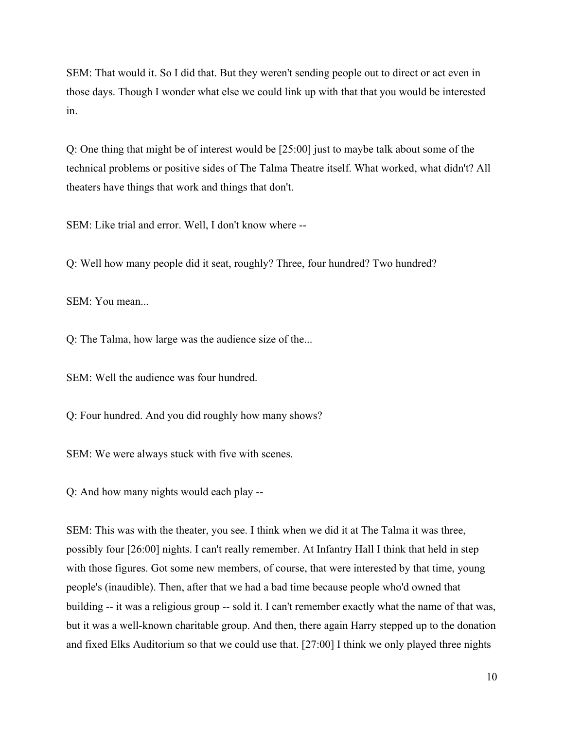SEM: That would it. So I did that. But they weren't sending people out to direct or act even in those days. Though I wonder what else we could link up with that that you would be interested in.

Q: One thing that might be of interest would be [25:00] just to maybe talk about some of the technical problems or positive sides of The Talma Theatre itself. What worked, what didn't? All theaters have things that work and things that don't.

SEM: Like trial and error. Well, I don't know where --

Q: Well how many people did it seat, roughly? Three, four hundred? Two hundred?

SEM: You mean...

Q: The Talma, how large was the audience size of the...

SEM: Well the audience was four hundred.

Q: Four hundred. And you did roughly how many shows?

SEM: We were always stuck with five with scenes.

Q: And how many nights would each play --

SEM: This was with the theater, you see. I think when we did it at The Talma it was three, possibly four [26:00] nights. I can't really remember. At Infantry Hall I think that held in step with those figures. Got some new members, of course, that were interested by that time, young people's (inaudible). Then, after that we had a bad time because people who'd owned that building -- it was a religious group -- sold it. I can't remember exactly what the name of that was, but it was a well-known charitable group. And then, there again Harry stepped up to the donation and fixed Elks Auditorium so that we could use that. [27:00] I think we only played three nights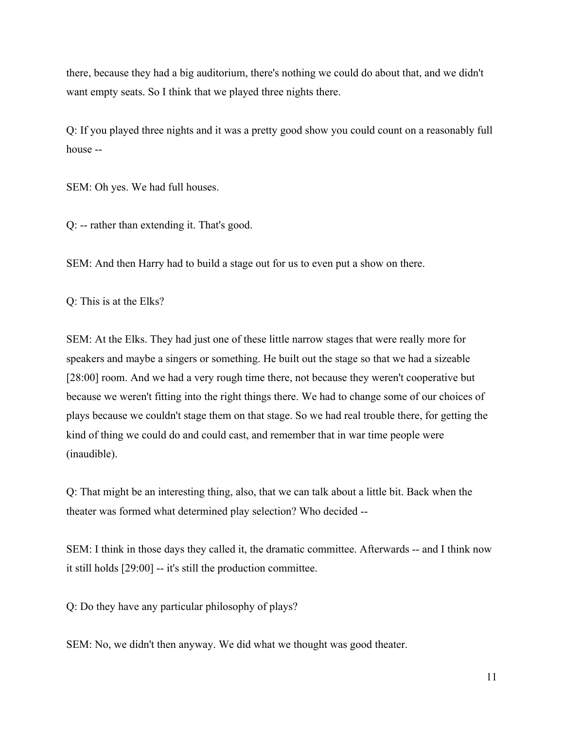there, because they had a big auditorium, there's nothing we could do about that, and we didn't want empty seats. So I think that we played three nights there.

Q: If you played three nights and it was a pretty good show you could count on a reasonably full house --

SEM: Oh yes. We had full houses.

Q: -- rather than extending it. That's good.

SEM: And then Harry had to build a stage out for us to even put a show on there.

Q: This is at the Elks?

SEM: At the Elks. They had just one of these little narrow stages that were really more for speakers and maybe a singers or something. He built out the stage so that we had a sizeable [28:00] room. And we had a very rough time there, not because they weren't cooperative but because we weren't fitting into the right things there. We had to change some of our choices of plays because we couldn't stage them on that stage. So we had real trouble there, for getting the kind of thing we could do and could cast, and remember that in war time people were (inaudible).

Q: That might be an interesting thing, also, that we can talk about a little bit. Back when the theater was formed what determined play selection? Who decided --

SEM: I think in those days they called it, the dramatic committee. Afterwards -- and I think now it still holds [29:00] -- it's still the production committee.

Q: Do they have any particular philosophy of plays?

SEM: No, we didn't then anyway. We did what we thought was good theater.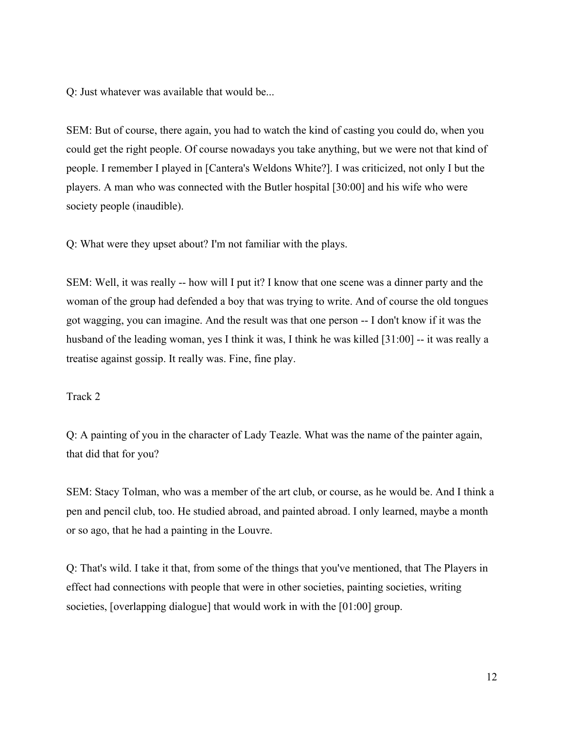Q: Just whatever was available that would be...

SEM: But of course, there again, you had to watch the kind of casting you could do, when you could get the right people. Of course nowadays you take anything, but we were not that kind of people. I remember I played in [Cantera's Weldons White?]. I was criticized, not only I but the players. A man who was connected with the Butler hospital [30:00] and his wife who were society people (inaudible).

Q: What were they upset about? I'm not familiar with the plays.

SEM: Well, it was really -- how will I put it? I know that one scene was a dinner party and the woman of the group had defended a boy that was trying to write. And of course the old tongues got wagging, you can imagine. And the result was that one person -- I don't know if it was the husband of the leading woman, yes I think it was, I think he was killed [31:00] -- it was really a treatise against gossip. It really was. Fine, fine play.

Track 2

Q: A painting of you in the character of Lady Teazle. What was the name of the painter again, that did that for you?

SEM: Stacy Tolman, who was a member of the art club, or course, as he would be. And I think a pen and pencil club, too. He studied abroad, and painted abroad. I only learned, maybe a month or so ago, that he had a painting in the Louvre.

Q: That's wild. I take it that, from some of the things that you've mentioned, that The Players in effect had connections with people that were in other societies, painting societies, writing societies, [overlapping dialogue] that would work in with the [01:00] group.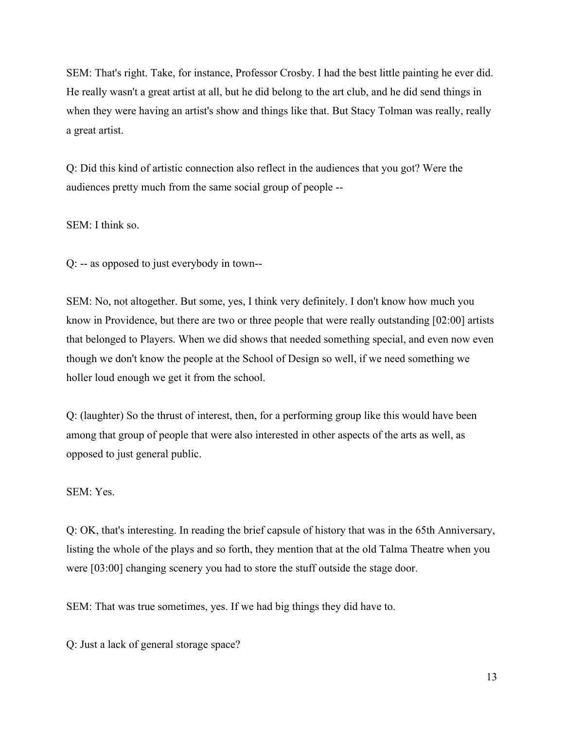SEM: That's right. Take, for instance, Professor Crosby. I had the best little painting he ever did. He really wasn't a great artist at all, but he did belong to the art club, and he did send things in when they were having an artist's show and things like that. But Stacy Tolman was really, really a great artist.

Q: Did this kind of artistic connection also reflect in the audiences that you got? Were the audiences pretty much from the same social group of people --

SEM: I think so.

Q: -- as opposed to just everybody in town--

SEM: No, not altogether. But some, yes, I think very definitely. I don't know how much you know in Providence, but there are two or three people that were really outstanding [02:00] artists that belonged to Players. When we did shows that needed something special, and even now even though we don't know the people at the School of Design so well, if we need something we holler loud enough we get it from the school.

Q: (laughter) So the thrust of interest, then, for a performing group like this would have been among that group of people that were also interested in other aspects of the arts as well, as opposed to just general public.

SEM: Yes.

Q: OK, that's interesting. In reading the brief capsule of history that was in the 65th Anniversary, listing the whole of the plays and so forth, they mention that at the old Talma Theatre when you were [03:00] changing scenery you had to store the stuff outside the stage door.

SEM: That was true sometimes, yes. If we had big things they did have to.

Q: Just a lack of general storage space?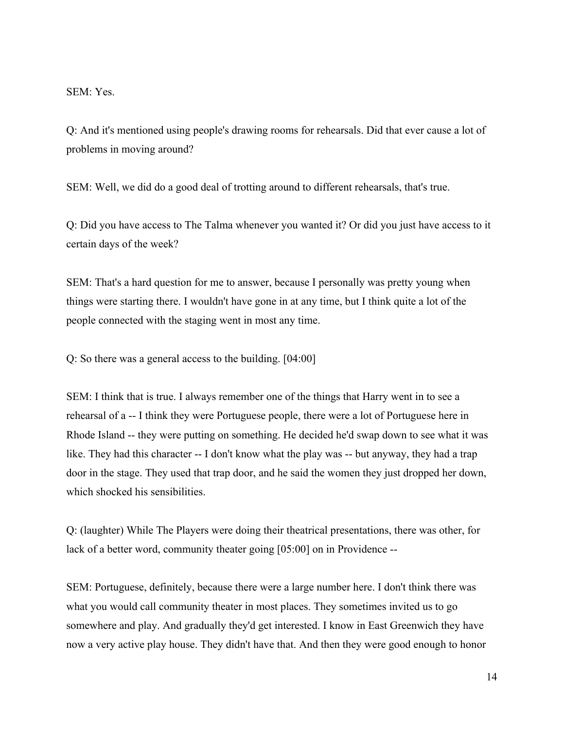SEM: Yes.

Q: And it's mentioned using people's drawing rooms for rehearsals. Did that ever cause a lot of problems in moving around?

SEM: Well, we did do a good deal of trotting around to different rehearsals, that's true.

Q: Did you have access to The Talma whenever you wanted it? Or did you just have access to it certain days of the week?

SEM: That's a hard question for me to answer, because I personally was pretty young when things were starting there. I wouldn't have gone in at any time, but I think quite a lot of the people connected with the staging went in most any time.

Q: So there was a general access to the building. [04:00]

SEM: I think that is true. I always remember one of the things that Harry went in to see a rehearsal of a -- I think they were Portuguese people, there were a lot of Portuguese here in Rhode Island -- they were putting on something. He decided he'd swap down to see what it was like. They had this character -- I don't know what the play was -- but anyway, they had a trap door in the stage. They used that trap door, and he said the women they just dropped her down, which shocked his sensibilities.

Q: (laughter) While The Players were doing their theatrical presentations, there was other, for lack of a better word, community theater going [05:00] on in Providence --

SEM: Portuguese, definitely, because there were a large number here. I don't think there was what you would call community theater in most places. They sometimes invited us to go somewhere and play. And gradually they'd get interested. I know in East Greenwich they have now a very active play house. They didn't have that. And then they were good enough to honor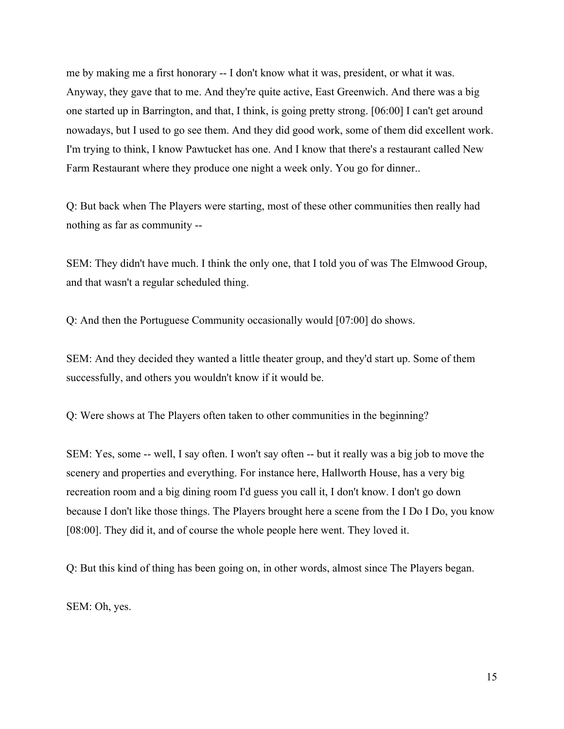me by making me a first honorary -- I don't know what it was, president, or what it was. Anyway, they gave that to me. And they're quite active, East Greenwich. And there was a big one started up in Barrington, and that, I think, is going pretty strong. [06:00] I can't get around nowadays, but I used to go see them. And they did good work, some of them did excellent work. I'm trying to think, I know Pawtucket has one. And I know that there's a restaurant called New Farm Restaurant where they produce one night a week only. You go for dinner..

Q: But back when The Players were starting, most of these other communities then really had nothing as far as community --

SEM: They didn't have much. I think the only one, that I told you of was The Elmwood Group, and that wasn't a regular scheduled thing.

Q: And then the Portuguese Community occasionally would [07:00] do shows.

SEM: And they decided they wanted a little theater group, and they'd start up. Some of them successfully, and others you wouldn't know if it would be.

Q: Were shows at The Players often taken to other communities in the beginning?

SEM: Yes, some -- well, I say often. I won't say often -- but it really was a big job to move the scenery and properties and everything. For instance here, Hallworth House, has a very big recreation room and a big dining room I'd guess you call it, I don't know. I don't go down because I don't like those things. The Players brought here a scene from the I Do I Do, you know [08:00]. They did it, and of course the whole people here went. They loved it.

Q: But this kind of thing has been going on, in other words, almost since The Players began.

SEM: Oh, yes.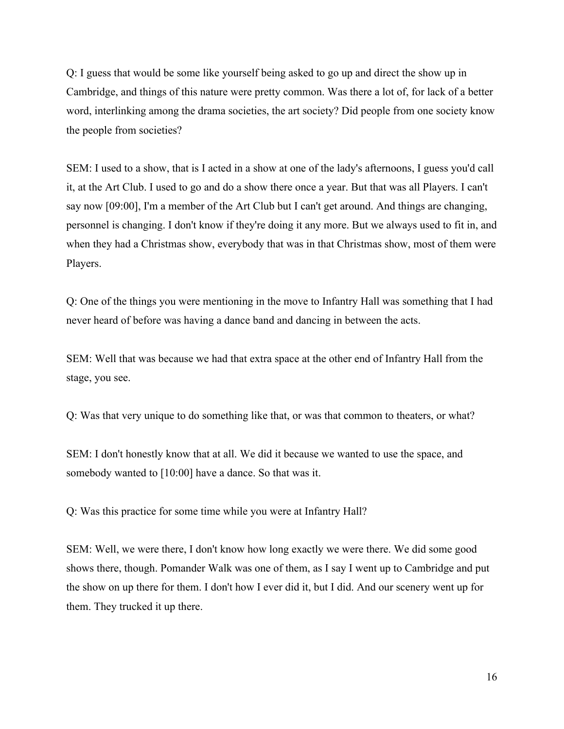Q: I guess that would be some like yourself being asked to go up and direct the show up in Cambridge, and things of this nature were pretty common. Was there a lot of, for lack of a better word, interlinking among the drama societies, the art society? Did people from one society know the people from societies?

SEM: I used to a show, that is I acted in a show at one of the lady's afternoons, I guess you'd call it, at the Art Club. I used to go and do a show there once a year. But that was all Players. I can't say now [09:00], I'm a member of the Art Club but I can't get around. And things are changing, personnel is changing. I don't know if they're doing it any more. But we always used to fit in, and when they had a Christmas show, everybody that was in that Christmas show, most of them were Players.

Q: One of the things you were mentioning in the move to Infantry Hall was something that I had never heard of before was having a dance band and dancing in between the acts.

SEM: Well that was because we had that extra space at the other end of Infantry Hall from the stage, you see.

Q: Was that very unique to do something like that, or was that common to theaters, or what?

SEM: I don't honestly know that at all. We did it because we wanted to use the space, and somebody wanted to [10:00] have a dance. So that was it.

Q: Was this practice for some time while you were at Infantry Hall?

SEM: Well, we were there, I don't know how long exactly we were there. We did some good shows there, though. Pomander Walk was one of them, as I say I went up to Cambridge and put the show on up there for them. I don't how I ever did it, but I did. And our scenery went up for them. They trucked it up there.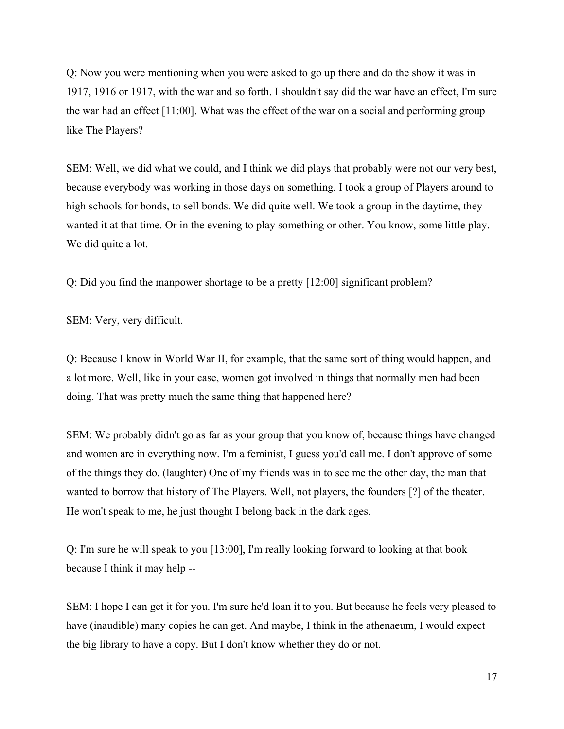Q: Now you were mentioning when you were asked to go up there and do the show it was in 1917, 1916 or 1917, with the war and so forth. I shouldn't say did the war have an effect, I'm sure the war had an effect [11:00]. What was the effect of the war on a social and performing group like The Players?

SEM: Well, we did what we could, and I think we did plays that probably were not our very best, because everybody was working in those days on something. I took a group of Players around to high schools for bonds, to sell bonds. We did quite well. We took a group in the daytime, they wanted it at that time. Or in the evening to play something or other. You know, some little play. We did quite a lot.

Q: Did you find the manpower shortage to be a pretty [12:00] significant problem?

SEM: Very, very difficult.

Q: Because I know in World War II, for example, that the same sort of thing would happen, and a lot more. Well, like in your case, women got involved in things that normally men had been doing. That was pretty much the same thing that happened here?

SEM: We probably didn't go as far as your group that you know of, because things have changed and women are in everything now. I'm a feminist, I guess you'd call me. I don't approve of some of the things they do. (laughter) One of my friends was in to see me the other day, the man that wanted to borrow that history of The Players. Well, not players, the founders [?] of the theater. He won't speak to me, he just thought I belong back in the dark ages.

Q: I'm sure he will speak to you [13:00], I'm really looking forward to looking at that book because I think it may help --

SEM: I hope I can get it for you. I'm sure he'd loan it to you. But because he feels very pleased to have (inaudible) many copies he can get. And maybe, I think in the athenaeum, I would expect the big library to have a copy. But I don't know whether they do or not.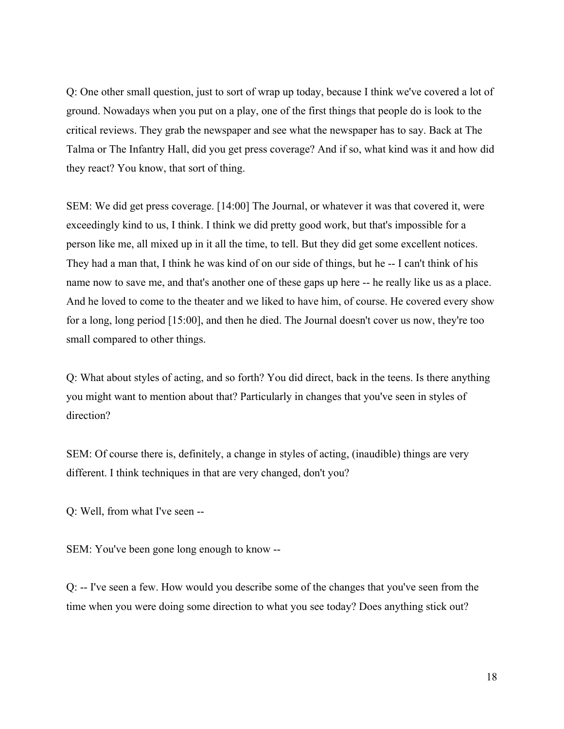Q: One other small question, just to sort of wrap up today, because I think we've covered a lot of ground. Nowadays when you put on a play, one of the first things that people do is look to the critical reviews. They grab the newspaper and see what the newspaper has to say. Back at The Talma or The Infantry Hall, did you get press coverage? And if so, what kind was it and how did they react? You know, that sort of thing.

SEM: We did get press coverage. [14:00] The Journal, or whatever it was that covered it, were exceedingly kind to us, I think. I think we did pretty good work, but that's impossible for a person like me, all mixed up in it all the time, to tell. But they did get some excellent notices. They had a man that, I think he was kind of on our side of things, but he -- I can't think of his name now to save me, and that's another one of these gaps up here -- he really like us as a place. And he loved to come to the theater and we liked to have him, of course. He covered every show for a long, long period [15:00], and then he died. The Journal doesn't cover us now, they're too small compared to other things.

Q: What about styles of acting, and so forth? You did direct, back in the teens. Is there anything you might want to mention about that? Particularly in changes that you've seen in styles of direction?

SEM: Of course there is, definitely, a change in styles of acting, (inaudible) things are very different. I think techniques in that are very changed, don't you?

Q: Well, from what I've seen --

SEM: You've been gone long enough to know --

Q: -- I've seen a few. How would you describe some of the changes that you've seen from the time when you were doing some direction to what you see today? Does anything stick out?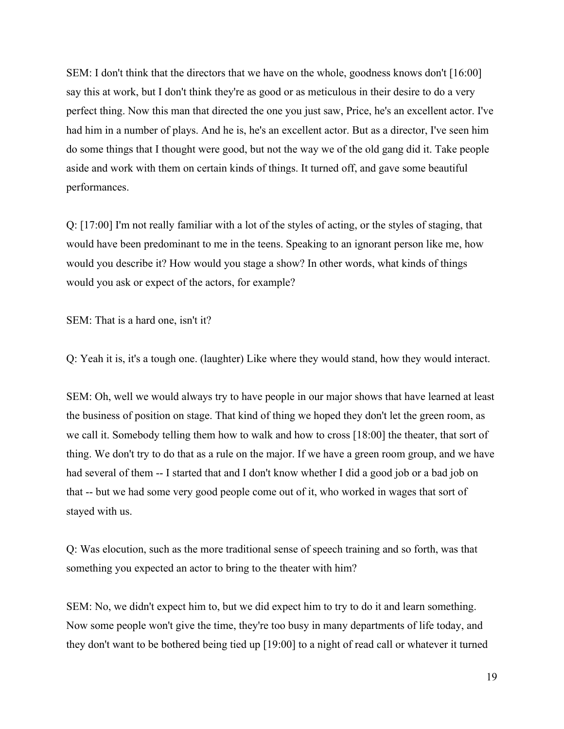SEM: I don't think that the directors that we have on the whole, goodness knows don't [16:00] say this at work, but I don't think they're as good or as meticulous in their desire to do a very perfect thing. Now this man that directed the one you just saw, Price, he's an excellent actor. I've had him in a number of plays. And he is, he's an excellent actor. But as a director, I've seen him do some things that I thought were good, but not the way we of the old gang did it. Take people aside and work with them on certain kinds of things. It turned off, and gave some beautiful performances.

Q: [17:00] I'm not really familiar with a lot of the styles of acting, or the styles of staging, that would have been predominant to me in the teens. Speaking to an ignorant person like me, how would you describe it? How would you stage a show? In other words, what kinds of things would you ask or expect of the actors, for example?

SEM: That is a hard one, isn't it?

Q: Yeah it is, it's a tough one. (laughter) Like where they would stand, how they would interact.

SEM: Oh, well we would always try to have people in our major shows that have learned at least the business of position on stage. That kind of thing we hoped they don't let the green room, as we call it. Somebody telling them how to walk and how to cross [18:00] the theater, that sort of thing. We don't try to do that as a rule on the major. If we have a green room group, and we have had several of them -- I started that and I don't know whether I did a good job or a bad job on that -- but we had some very good people come out of it, who worked in wages that sort of stayed with us.

Q: Was elocution, such as the more traditional sense of speech training and so forth, was that something you expected an actor to bring to the theater with him?

SEM: No, we didn't expect him to, but we did expect him to try to do it and learn something. Now some people won't give the time, they're too busy in many departments of life today, and they don't want to be bothered being tied up [19:00] to a night of read call or whatever it turned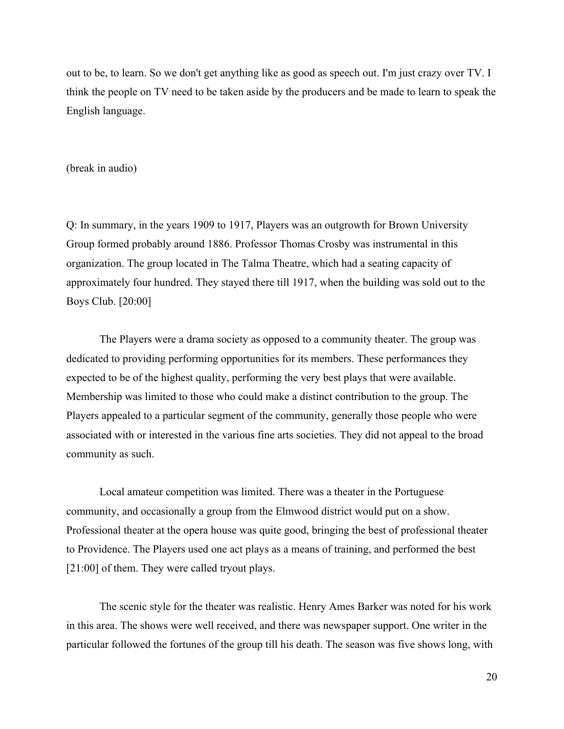out to be, to learn. So we don't get anything like as good as speech out. I'm just crazy over TV. I think the people on TV need to be taken aside by the producers and be made to learn to speak the English language.

(break in audio)

Q: In summary, in the years 1909 to 1917, Players was an outgrowth for Brown University Group formed probably around 1886. Professor Thomas Crosby was instrumental in this organization. The group located in The Talma Theatre, which had a seating capacity of approximately four hundred. They stayed there till 1917, when the building was sold out to the Boys Club. [20:00]

The Players were a drama society as opposed to a community theater. The group was dedicated to providing performing opportunities for its members. These performances they expected to be of the highest quality, performing the very best plays that were available. Membership was limited to those who could make a distinct contribution to the group. The Players appealed to a particular segment of the community, generally those people who were associated with or interested in the various fine arts societies. They did not appeal to the broad community as such.

Local amateur competition was limited. There was a theater in the Portuguese community, and occasionally a group from the Elmwood district would put on a show. Professional theater at the opera house was quite good, bringing the best of professional theater to Providence. The Players used one act plays as a means of training, and performed the best [21:00] of them. They were called tryout plays.

The scenic style for the theater was realistic. Henry Ames Barker was noted for his work in this area. The shows were well received, and there was newspaper support. One writer in the particular followed the fortunes of the group till his death. The season was five shows long, with